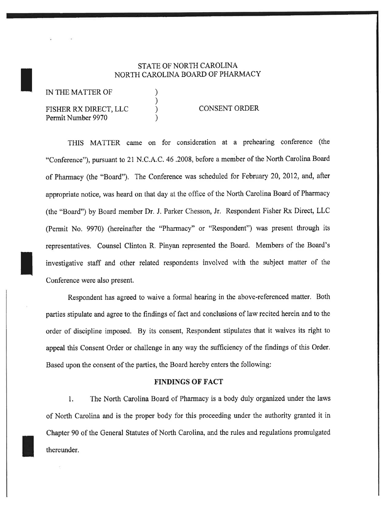## STATE OF NORTH CAROLINA NORTH CAROLINA BOARD OF PHARMACY

) ) )

IN THE MATTER OF

**II** 

# FISHER RX DIRECT, LLC Permit Number 9970

#### CONSENT ORDER

THIS MATTER came on for consideration at a prehearing conference (the "Conference"), pursuant to 21 N.C.A.C.46.2008, before a member of the North Carolina Board of Pharmacy (the "Board"). The Conference was scheduled for February 20,2012, and, after appropriate notice, was heard on that day at the office of the North Carolina Board of Pharmacy (the "Board") by Board member Dr. J. Parker Chesson, Jr. Respondent Fisher Rx Direct, LLC (Permit No. 9970) (hereinafter the "Pharmacy" or "Respondent") was present through its representatives. Counsel Clinton R, Pinyan represented the Board. Members of the Board's investigative staff and other related respondents involved with the subject matter of the Conference were also present.

Respondent has agreed to waive a formal hearing in the above-referenced matter, Both parties stipulate and agtee to the findings of fact and conclusions of law recited herein and to the order of discipline imposed. By its consent, Respondent stipulates that it waives its right to appeal this Consent Order or challenge in any way the sufficiency of the findings of this Order. Based upon the consent of the parties, the Board hereby enters the following:

#### FINDINGS OF FACT

l. The North Carolina Board of Pharmacy is a body duly organized under the laws of North Carolina and is the proper body for this proceeding under the authority granted it in Chapter 90 of the General Statutes of North Carolina, and the rules and regulations promulgated thereunder.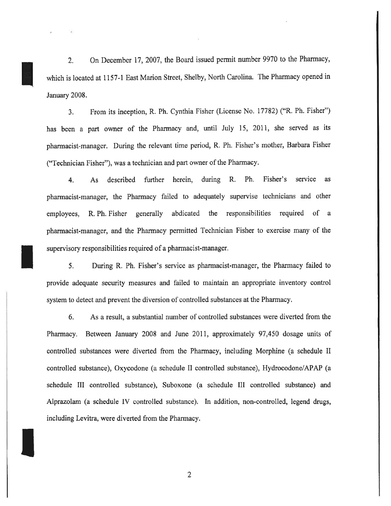2. On December 17,2007, the Board issued permit number 9970 to the Pharmacy, which is located at 1157-1 East Marion Street, Shelby, North Carolina. The Pharmacy opened in January 2008.

3. From its inception, R. Ph. Cynthia Fisher (License No, 17782) ("R. Ph. Fisher") has been a part owner of the Pharmacy and, until July 15, 201I, she served as its pharmacist-manager. During the relevant time period, R, Ph. Fisher's mother, Barbara Fisher ("Technician Fisher"), was a technician and part owner of the Pharmacy.

4. As described further herein, during R. Ph, Fisher's service as pharmacist-manager, the Pharmacy failed to adequately supervise technicians and other employees, R, Ph. Fisher generally abdicated the responsibilities required of <sup>a</sup> pharmacist-manager, and the Pharmacy permitted Technician Fisher to exercise many of the supervisory responsibilities required of a pharmacist-manager,

5, During R. Ph. Fisher's service as pharmacist-manager, the Pharmacy failed to provide adequate security measures and failed to maintain an appropriate inventory control system to detect and prevent the diversion of controlled substances at the Pharmacy.

I

I

6. As a result, a substantial number of controlled substances were diverted from the Pharmacy. Between January 2008 and June 2011, approximately 97,450 dosage units of controlled substances were diverted from the Pharmacy, including Morphine (a schedule II controlled substance), Oxycodone (a schedule II controlled substance), Hydrocodone/APAP (a schedule III controlled substance), Suboxone (a schedule III controlled substance) and Alprazolam (a schedule IV controlled substance). In addition, non-controlled, legend drugs, including Levitra, were diverted from the Pharmacy,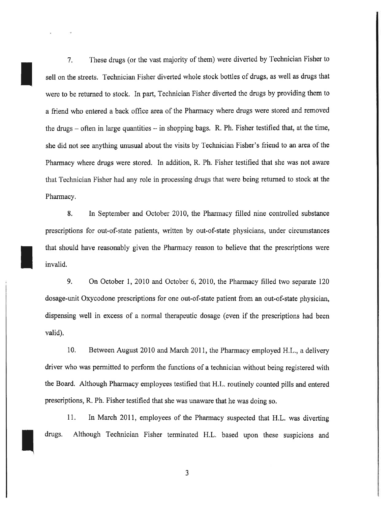7. These drugs (or the vast majority of them) were diverted by Technician Fisher to sell on the streets. Technician Fisher diverted whole stock bottles of drugs, as well as drugs that were to be returned to stock. In part, Technician Fisher diverted the drugs by providing them to a friend who entered a back offrce area of the Pharmacy where drugs were stored and removed the drugs  $-$  often in large quantities  $-$  in shopping bags. R. Ph. Fisher testified that, at the time, she did not see anything unusual about the visits by Technician Fisher's friend to an area of the Pharmacy where drugs were stored. In addition, R, Ph, Fisher testified that she was not aware that Technician Fisher had any role in processing drugs that were being returned to stock at the Pharmacy,

I

I

I

8. In September and October 2010, the Pharmacy filled nine controlled substance prescriptions for out-of-state patients, written by out-of-state physicians, under circumstances that should have reasonably given the Pharmacy reason to believe that the prescriptions were invalid.

9. On October 1,2010 and October 6, 2010, the Pharmacy filled two separate <sup>120</sup> dosage-unit Oxycodone prescriptions for one out-of-state patient from an out-of-state physician, dispensing well in excess of a normal therapeutic dosage (even if the prescriptions had been valid).

10. Between August 2010 and March 2011, the Pharmacy employed H.L., a delivery driver who was permitted to perform the functions of a technician without being registered with the Board. Although Pharmacy employees testified that H.L, routinely counted pills and entered prescriptions, R. Ph. Fisher testified that she was unaware that he was doing so.

ll. In March 2011, employees of the Pharmacy suspected that H.L. was diverting drugs. Although Technician Fisher terminated H.L. based upon these suspicions and

J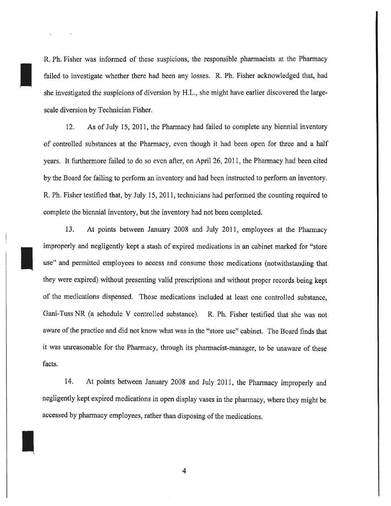R, Ph, Fisher was informed of these suspicions, the responsible pharmacists at the Pharmacy failed to investigate whether there had been any losses. R. Ph, Fisher acknowledged that, had she investigated the suspicions of diversion by H.L., she might have earlier discovered the largescale diversion by Technician Fisher.

I

I

I

12. As of July 15, 2011, the Pharmacy had failed to complete any biennial inventory of controlled substances at the Pharmacy, even though it had been open for three and a half years, It furthermore failed to do so even after, on April 26,2011, the Pharmacy had been cited by the Board for failing to perform an inventory and had been instructed to perform an inventory. R. Ph. Fisher testified that, by July 15, 2011, technicians had performed the counting required to complete the biennial inventory, but the inventory had not been completed.

13, At points between January 2008 and July 2011, employees at the Pharmacy improperly and negligently kept a stash of expired medications in an cabinet marked for "store use" and permitted employees to access and consume those medications (notwithstanding that they were expired) without presenting valid prescriptions and without proper records being kept of the meclications dispensed. Those medications included at least one controlled substance, Gani-Tuss NR (a schedule V controlled substance), R. Ph. Fisher testified that she was not aware of the practice and did not know what was in the "store use" cabinet. The Board finds that it was unreasonable for the Pharmacy, through its pharmacist-manager, to be unaware of these facts,

14. At points between January 2008 and July 2011, the Pharmacy improperly and negligently kept expired medications in open display vases in the pharmacy, where they might be accessed by pharmacy employees, rather than disposing of the medications.

4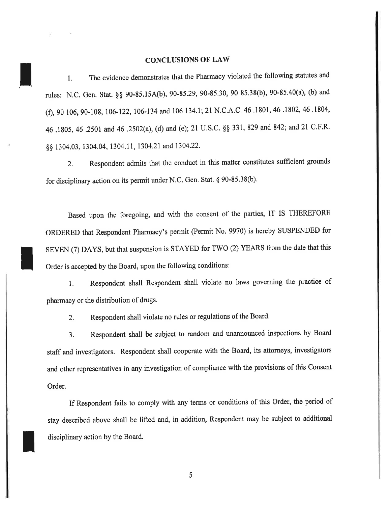### CONCLUSIONS OF LAW

I

I

I

1. The evidence demonstrates that the Pharmacy violated the following statutes and rules: N.C. Gen. Stat. §§ 90-85.15A(b), 90-85.29, 90-85.30, 90 85.38(b), 90-85.40(a), (b) and (f), 90 106, 90-108, 106-122, 106-134 and 106 134.1; 21 N.C.A.C. 46 .1801, 46 .1802, 46 .1804, 46.1805, 46.2501 and 46.2502(a), (d) and (e); 21 U.S.C. §§ 331, 829 and 842; and 21 C.F.R. §§ 1304.03, 1304.04, 1304.11, 1304.21 and 1304.22.

2. Respondent admits that the conduct in this matter constitutes sufficient grounds for disciplinary action on its permit under N.C. Gen. Stat. § 90-85.38(b).

Based upon the foregoing, and with the consent of the parties, IT IS THEREFORE ORDERED that Respondent Pharmacy's permit (Permit No, 9970) is hereby SUSPENDED for SEVEN (7) DAYS, but that suspension is STAYED for TWO (2) YEARS from the date that this Order is accepted by the Board, upon the following conditions:

1. Respondent shall Respondent shall violate no laws governing the practice of pharmacy or the distribution of drugs,

2. Respondent shall violate no rules or regulations of the Board.

3, Respondent shall be subject to random and unannounced inspections by Board staff and investigators. Respondent shall cooperate with the Board, its attorneys, investigators and other representatives in any investigation of compliance with the provisions of this Consent Order.

If Respondent fails to comply with any terms or conditions of this Order, the period of stay described above shall be lifted and, in addition, Respondent may be subject to additional disciplinary action by the Board.

5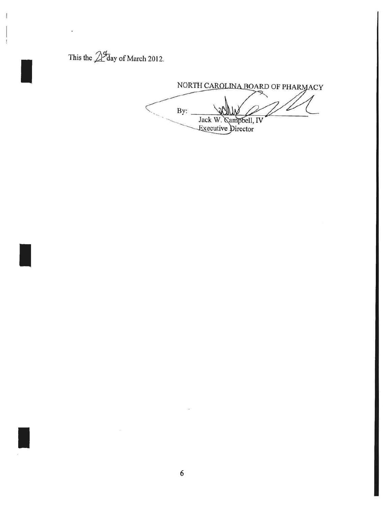This the  $\mathbb{Z}^{\mathcal{F}}$ day of March 2012.

NORTH CAROLINA BOARD OF PHARMACY  $By:$ Jack W. Campbell, IV